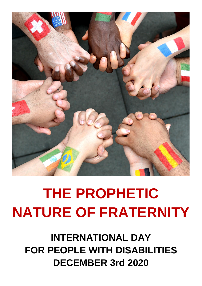

# **THE PROPHETIC NATURE OF FRATERNITY**

**INTERNATIONAL DAY FOR PEOPLE WITH DISABILITIES DECEMBER 3rd 2020**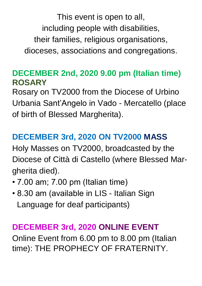This event is open to all, including people with disabilities, their families, religious organisations, dioceses, associations and congregations.

#### **DECEMBER 2nd, 2020 9.00 pm (Italian time) ROSARY**

Rosary on TV2000 from the Diocese of Urbino Urbania Sant'Angelo in Vado - Mercatello (place of birth of Blessed Margherita).

### **DECEMBER 3rd, 2020 ON TV2000 MASS**

Holy Masses on TV2000, broadcasted by the Diocese of Città di Castello (where Blessed Margherita died).

- 7.00 am; 7.00 pm (Italian time)
- 8.30 am (available in LIS Italian Sign Language for deaf participants)

#### **DECEMBER 3rd, 2020 ONLINE EVENT**

Online Event from 6.00 pm to 8.00 pm (Italian time): THE PROPHECY OF FRATERNITY.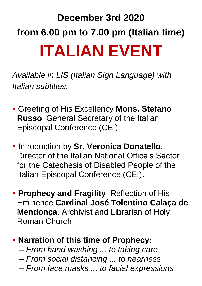## **December 3rd 2020 from 6.00 pm to 7.00 pm (Italian time) ITALIAN EVENT**

*Available in LIS (Italian Sign Language) with Italian subtitles.*

- Greeting of His Excellency **Mons. Stefano Russo**, General Secretary of the Italian Episcopal Conference (CEI).
- **Introduction by Sr. Veronica Donatello,** Director of the Italian National Office's Sector for the Catechesis of Disabled People of the Italian Episcopal Conference (CEI).
- **Prophecy and Fragility**. Reflection of His Eminence **Cardinal José Tolentino Calaça de Mendonça**, Archivist and Librarian of Holy Roman Church.

#### **Narration of this time of Prophecy:**

- *– From hand washing ... to taking care*
- *– From social distancing ... to nearness*
- *– From face masks ... to facial expressions*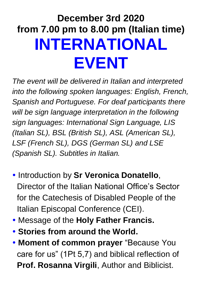### **December 3rd 2020 from 7.00 pm to 8.00 pm (Italian time) INTERNATIONAL EVENT**

*The event will be delivered in Italian and interpreted into the following spoken languages: English, French, Spanish and Portuguese. For deaf participants there will be sign language interpretation in the following sign languages: International Sign Language, LIS (Italian SL), BSL (British SL), ASL (American SL), LSF (French SL), DGS (German SL) and LSE (Spanish SL). Subtitles in Italian.*

- **Introduction by Sr Veronica Donatello,** Director of the Italian National Office's Sector for the Catechesis of Disabled People of the Italian Episcopal Conference (CEI).
- Message of the **Holy Father Francis.**
- **Stories from around the World.**
- **Moment of common prayer** "Because You care for us" (1Pt 5,7) and biblical reflection of **Prof. Rosanna Virgili**, Author and Biblicist.